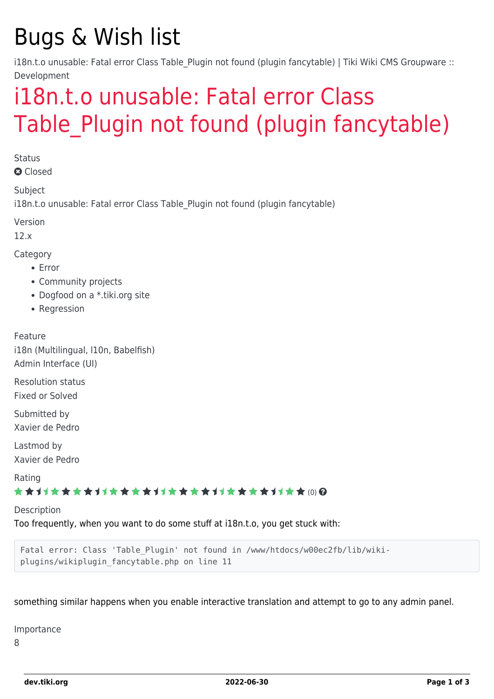# Bugs & Wish list

i18n.t.o unusable: Fatal error Class Table Plugin not found (plugin fancytable) | Tiki Wiki CMS Groupware :: Development

# [i18n.t.o unusable: Fatal error Class](https://dev.tiki.org/item4716-i18n-t-o-unusable-Fatal-error-Class-Table_Plugin-not-found-plugin-fancytable) Table Plugin not found (plugin fancytable)

**Status** 

**a** Closed

Subject

i18n.t.o unusable: Fatal error Class Table Plugin not found (plugin fancytable)

Version

12.x

Category

- Error
- Community projects
- Dogfood on a \*.tiki.org site
- Regression

Feature i18n (Multilingual, l10n, Babelfish) Admin Interface (UI)

Resolution status Fixed or Solved

Submitted by Xavier de Pedro

Lastmod by Xavier de Pedro

Rating

#### ★★11★★★★11★★★★11★★★★11★★★★11★★ (0) @

Description

Too frequently, when you want to do some stuff at i18n.t.o, you get stuck with:

Fatal error: Class 'Table Plugin' not found in /www/htdocs/w00ec2fb/lib/wikiplugins/wikiplugin\_fancytable.php on line 11

something similar happens when you enable interactive translation and attempt to go to any admin panel.

Importance

8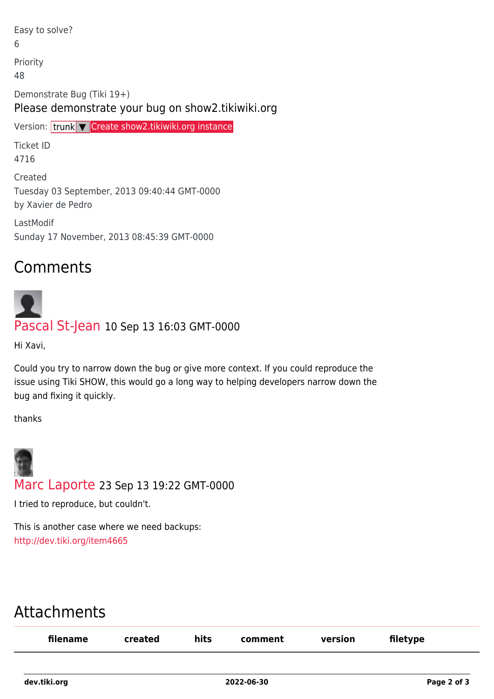Easy to solve? 6 Priority 48 Demonstrate Bug (Tiki 19+) Please demonstrate your bug on show2.tikiwiki.org Version: trunk ▼ [Create show2.tikiwiki.org instance](#page--1-0) Ticket ID 4716

Created Tuesday 03 September, 2013 09:40:44 GMT-0000 by Xavier de Pedro

LastModif Sunday 17 November, 2013 08:45:39 GMT-0000

#### Comments

# [Pascal St-Jean](https://dev.tiki.org/user10536) 10 Sep 13 16:03 GMT-0000

Hi Xavi,

Could you try to narrow down the bug or give more context. If you could reproduce the issue using Tiki SHOW, this would go a long way to helping developers narrow down the bug and fixing it quickly.

thanks



I tried to reproduce, but couldn't.

This is another case where we need backups: <http://dev.tiki.org/item4665>

### Attachments

| filename | created | hits | comment | version | filetype |
|----------|---------|------|---------|---------|----------|
|          |         |      |         |         |          |